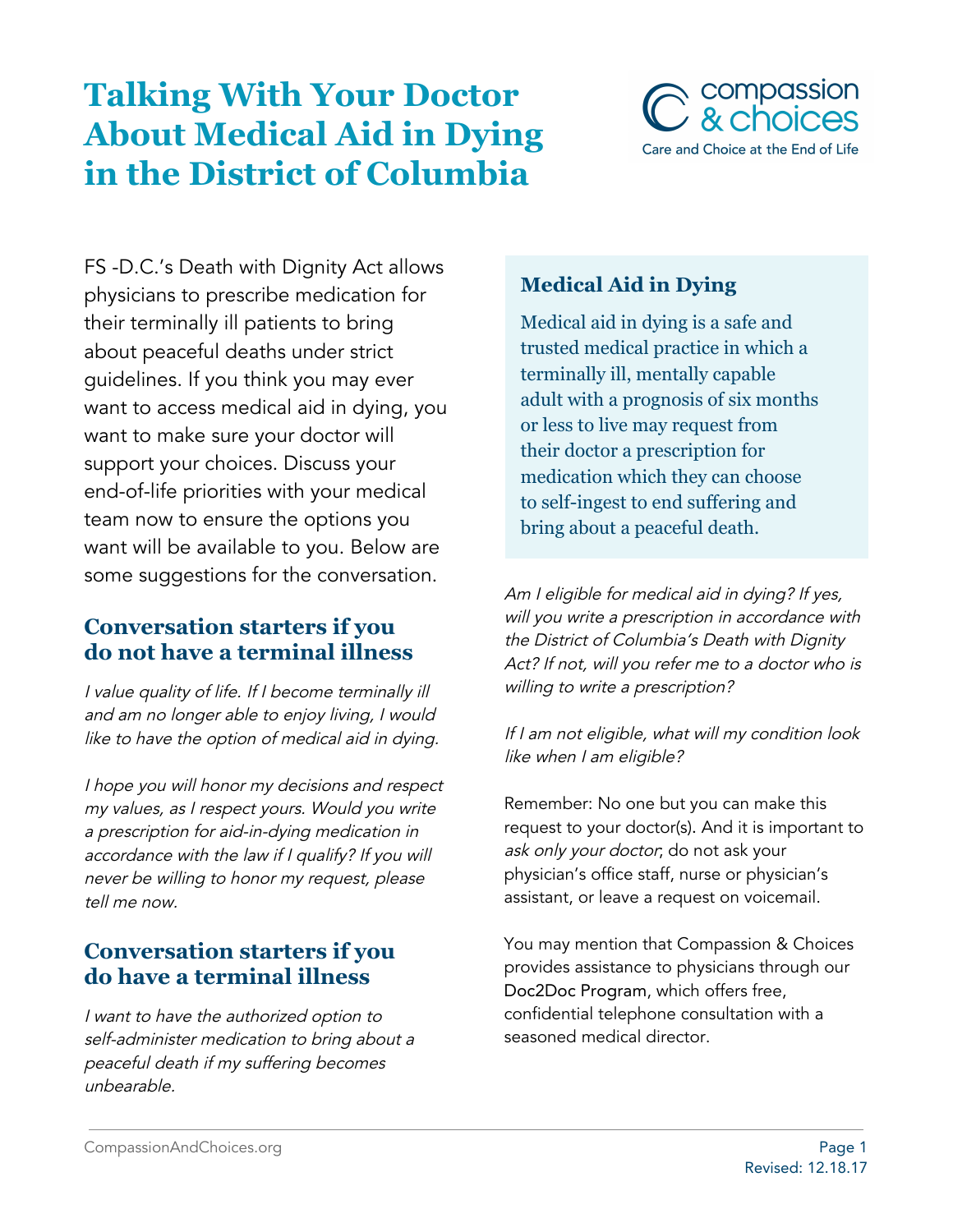# **Talking With Your Doctor About Medical Aid in Dying in the District of Columbia**



FS -D.C.'s Death with Dignity Act allows physicians to prescribe medication for their terminally ill patients to bring about peaceful deaths under strict guidelines. If you think you may ever want to access medical aid in dying, you want to make sure your doctor will support your choices. Discuss your end-of-life priorities with your medical team now to ensure the options you want will be available to you. Below are some suggestions for the conversation.

### **Conversation starters if you do not have a terminal illness**

<sup>I</sup> value quality of life. If <sup>I</sup> become terminally ill and am no longer able to enjoy living, I would like to have the option of medical aid in dying.

<sup>I</sup> hope you will honor my decisions and respect my values, as <sup>I</sup> respect yours. Would you write <sup>a</sup> prescription for aid-in-dying medication in accordance with the law if <sup>I</sup> qualify? If you will never be willing to honor my request, please tell me now.

# **Conversation starters if you do have a terminal illness**

<sup>I</sup> want to have the authorized option to self-administer medication to bring about <sup>a</sup> peaceful death if my suffering becomes unbearable.

# **Medical Aid in Dying**

Medical aid in dying is a safe and trusted medical practice in which a terminally ill, mentally capable adult with a prognosis of six months or less to live may request from their doctor a prescription for medication which they can choose to self-ingest to end suffering and bring about a peaceful death.

Am I eligible for medical aid in dying? If yes, will you write <sup>a</sup> prescription in accordance with the District of Columbia's Death with Dignity Act? If not, will you refer me to <sup>a</sup> doctor who is willing to write <sup>a</sup> prescription?

#### If I am not eligible, what will my condition look like when I am eligible?

Remember: No one but you can make this request to your doctor(s). And it is important to ask only your doctor, do not ask your physician's office staff, nurse or physician's assistant, or leave a request on voicemail.

You may mention that Compassion & Choices provides assistance to physicians through our Doc2Doc Program, which offers free, confidential telephone consultation with a seasoned medical director.